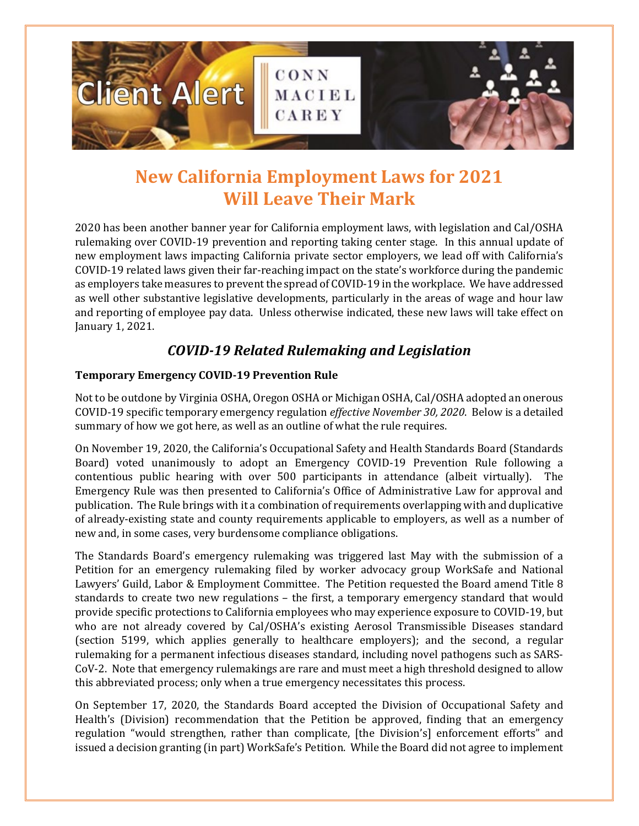

# **New California Employment Laws for 2021 Will Leave Their Mark**

2020 has been another banner year for California employment laws, with legislation and Cal/OSHA rulemaking over COVID-19 prevention and reporting taking center stage. In this annual update of new employment laws impacting California private sector employers, we lead off with California's COVID-19 related laws given their far-reaching impact on the state's workforce during the pandemic as employers take measures to prevent the spread of COVID-19 in the workplace. We have addressed as well other substantive legislative developments, particularly in the areas of wage and hour law and reporting of employee pay data. Unless otherwise indicated, these new laws will take effect on January 1, 2021.

## *COVID-19 Related Rulemaking and Legislation*

### **Temporary Emergency COVID-19 Prevention Rule**

Not to be outdone by Virginia OSHA, Oregon OSHA or Michigan OSHA, Cal/OSHA adopted an onerous COVID-19 specific temporary emergency regulation *effective November 30, 2020*. Below is a detailed summary of how we got here, as well as an outline of what the rule requires.

On November 19, 2020, the California's Occupational Safety and Health Standards Board (Standards Board) voted unanimously to adopt an Emergency COVID-19 Prevention Rule following a contentious public hearing with over 500 participants in attendance (albeit virtually). The Emergency Rule was then presented to California's Office of Administrative Law for approval and publication. The Rule brings with it a combination of requirements overlapping with and duplicative of already-existing state and county requirements applicable to employers, as well as a number of new and, in some cases, very burdensome compliance obligations.

The Standards Board's emergency rulemaking was triggered last May with the submission of a Petition for an emergency rulemaking filed by worker advocacy group WorkSafe and National Lawyers' Guild, Labor & Employment Committee. The Petition requested the Board amend Title 8 standards to create two new regulations – the first, a temporary emergency standard that would provide specific protections to California employees who may experience exposure to COVID-19, but who are not already covered by Cal/OSHA's existing Aerosol Transmissible Diseases standard (section 5199, which applies generally to healthcare employers); and the second, a regular rulemaking for a permanent infectious diseases standard, including novel pathogens such as SARS-CoV-2. Note that emergency rulemakings are rare and must meet a high threshold designed to allow this abbreviated process; only when a true emergency necessitates this process.

On September 17, 2020, the Standards Board accepted the Division of Occupational Safety and Health's (Division) recommendation that the Petition be approved, finding that an emergency regulation "would strengthen, rather than complicate, [the Division's] enforcement efforts" and issued a decision granting (in part) WorkSafe's Petition. While the Board did not agree to implement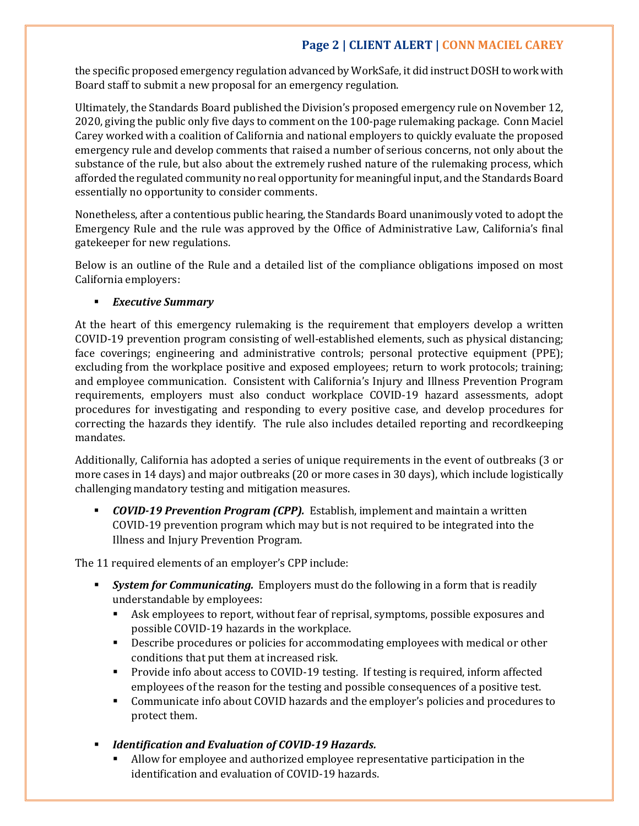## **Page 2 | CLIENT ALERT | CONN MACIEL CAREY**

the specific proposed emergency regulation advanced by WorkSafe, it did instruct DOSH to work with Board staff to submit a new proposal for an emergency regulation.

Ultimately, the Standards Board published the Division's proposed emergency rule on November 12, 2020, giving the public only five days to comment on the 100-page rulemaking package. Conn Maciel Carey worked with a coalition of California and national employers to quickly evaluate the proposed emergency rule and develop comments that raised a number of serious concerns, not only about the substance of the rule, but also about the extremely rushed nature of the rulemaking process, which afforded the regulated community no real opportunity for meaningful input, and the Standards Board essentially no opportunity to consider comments.

Nonetheless, after a contentious public hearing, the Standards Board unanimously voted to adopt the Emergency Rule and the rule was approved by the Office of Administrative Law, California's final gatekeeper for new regulations.

Below is an outline of the Rule and a detailed list of the compliance obligations imposed on most California employers:

### *Executive Summary*

At the heart of this emergency rulemaking is the requirement that employers develop a written COVID-19 prevention program consisting of well-established elements, such as physical distancing; face coverings; engineering and administrative controls; personal protective equipment (PPE); excluding from the workplace positive and exposed employees; return to work protocols; training; and employee communication. Consistent with California's Injury and Illness Prevention Program requirements, employers must also conduct workplace COVID-19 hazard assessments, adopt procedures for investigating and responding to every positive case, and develop procedures for correcting the hazards they identify. The rule also includes detailed reporting and recordkeeping mandates.

Additionally, California has adopted a series of unique requirements in the event of outbreaks (3 or more cases in 14 days) and major outbreaks (20 or more cases in 30 days), which include logistically challenging mandatory testing and mitigation measures.

 *COVID-19 Prevention Program (CPP).* Establish, implement and maintain a written COVID-19 prevention program which may but is not required to be integrated into the Illness and Injury Prevention Program.

The 11 required elements of an employer's CPP include:

- *System for Communicating.* Employers must do the following in a form that is readily understandable by employees:
	- Ask employees to report, without fear of reprisal, symptoms, possible exposures and possible COVID-19 hazards in the workplace.
	- Describe procedures or policies for accommodating employees with medical or other conditions that put them at increased risk.
	- **Provide info about access to COVID-19 testing. If testing is required, inform affected** employees of the reason for the testing and possible consequences of a positive test.
	- Communicate info about COVID hazards and the employer's policies and procedures to protect them.
- *Identification and Evaluation of COVID-19 Hazards.*
	- Allow for employee and authorized employee representative participation in the identification and evaluation of COVID-19 hazards.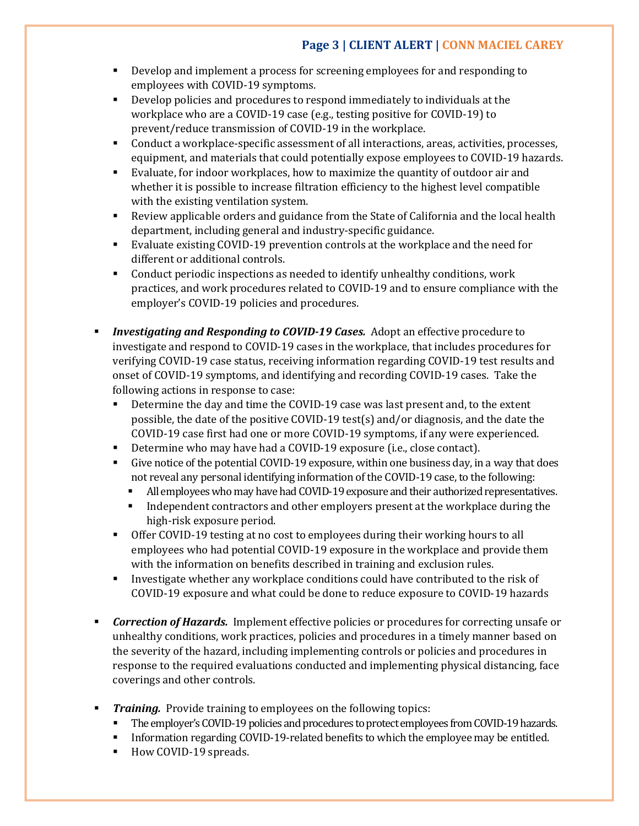## **Page 3 | CLIENT ALERT | CONN MACIEL CAREY**

- Develop and implement a process for screening employees for and responding to employees with COVID-19 symptoms.
- Develop policies and procedures to respond immediately to individuals at the workplace who are a COVID-19 case (e.g., testing positive for COVID-19) to prevent/reduce transmission of COVID-19 in the workplace.
- Conduct a workplace-specific assessment of all interactions, areas, activities, processes, equipment, and materials that could potentially expose employees to COVID-19 hazards.
- Evaluate, for indoor workplaces, how to maximize the quantity of outdoor air and whether it is possible to increase filtration efficiency to the highest level compatible with the existing ventilation system.
- Review applicable orders and guidance from the State of California and the local health department, including general and industry-specific guidance.
- Evaluate existing COVID-19 prevention controls at the workplace and the need for different or additional controls.
- Conduct periodic inspections as needed to identify unhealthy conditions, work practices, and work procedures related to COVID-19 and to ensure compliance with the employer's COVID-19 policies and procedures.
- *Investigating and Responding to COVID-19 Cases.* Adopt an effective procedure to investigate and respond to COVID-19 cases in the workplace, that includes procedures for verifying COVID-19 case status, receiving information regarding COVID-19 test results and onset of COVID-19 symptoms, and identifying and recording COVID-19 cases. Take the following actions in response to case:
	- Determine the day and time the COVID-19 case was last present and, to the extent possible, the date of the positive COVID-19 test(s) and/or diagnosis, and the date the COVID-19 case first had one or more COVID-19 symptoms, if any were experienced.
	- Determine who may have had a COVID-19 exposure (i.e., close contact).
	- Give notice of the potential COVID-19 exposure, within one business day, in a way that does not reveal any personal identifying information of the COVID-19 case, to the following:
		- All employees who may have had COVID-19 exposure and their authorized representatives.
		- Independent contractors and other employers present at the workplace during the high-risk exposure period.
	- Offer COVID-19 testing at no cost to employees during their working hours to all employees who had potential COVID-19 exposure in the workplace and provide them with the information on benefits described in training and exclusion rules.
	- **Investigate whether any workplace conditions could have contributed to the risk of** COVID-19 exposure and what could be done to reduce exposure to COVID-19 hazards
- *Correction of Hazards.* Implement effective policies or procedures for correcting unsafe or unhealthy conditions, work practices, policies and procedures in a timely manner based on the severity of the hazard, including implementing controls or policies and procedures in response to the required evaluations conducted and implementing physical distancing, face coverings and other controls.
- **Training.** Provide training to employees on the following topics:<br>The employer's COVID-19 policies and procedures to protect employ
	- The employer's COVID-19 policies and procedures to protect employees from COVID-19 hazards.
	- Information regarding COVID-19-related benefits to which the employee may be entitled.
	- How COVID-19 spreads.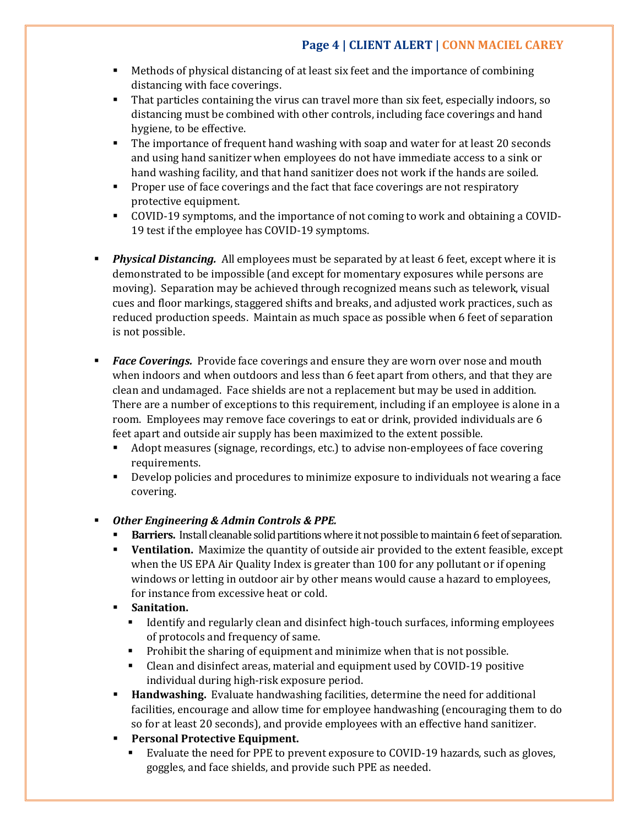- Methods of physical distancing of at least six feet and the importance of combining distancing with face coverings.
- That particles containing the virus can travel more than six feet, especially indoors, so distancing must be combined with other controls, including face coverings and hand hygiene, to be effective.
- **The importance of frequent hand washing with soap and water for at least 20 seconds** and using hand sanitizer when employees do not have immediate access to a sink or hand washing facility, and that hand sanitizer does not work if the hands are soiled.
- **Proper use of face coverings and the fact that face coverings are not respiratory** protective equipment.
- COVID-19 symptoms, and the importance of not coming to work and obtaining a COVID-19 test if the employee has COVID-19 symptoms.
- **Physical Distancing.** All employees must be separated by at least 6 feet, except where it is demonstrated to be impossible (and except for momentary exposures while persons are moving). Separation may be achieved through recognized means such as telework, visual cues and floor markings, staggered shifts and breaks, and adjusted work practices, such as reduced production speeds. Maintain as much space as possible when 6 feet of separation is not possible.
- *Face Coverings.* Provide face coverings and ensure they are worn over nose and mouth when indoors and when outdoors and less than 6 feet apart from others, and that they are clean and undamaged. Face shields are not a replacement but may be used in addition. There are a number of exceptions to this requirement, including if an employee is alone in a room. Employees may remove face coverings to eat or drink, provided individuals are 6 feet apart and outside air supply has been maximized to the extent possible.
	- Adopt measures (signage, recordings, etc.) to advise non-employees of face covering requirements.
	- Develop policies and procedures to minimize exposure to individuals not wearing a face covering.

### *Other Engineering & Admin Controls & PPE.*

- **Barriers.** Install cleanable solid partitions where it not possible to maintain 6 feet of separation.
- **Ventilation.** Maximize the quantity of outside air provided to the extent feasible, except when the US EPA Air Quality Index is greater than 100 for any pollutant or if opening windows or letting in outdoor air by other means would cause a hazard to employees, for instance from excessive heat or cold.
- **Sanitation.**
	- Identify and regularly clean and disinfect high-touch surfaces, informing employees of protocols and frequency of same.
	- **Prohibit the sharing of equipment and minimize when that is not possible.**
	- Clean and disinfect areas, material and equipment used by COVID-19 positive individual during high-risk exposure period.
- **Handwashing.** Evaluate handwashing facilities, determine the need for additional facilities, encourage and allow time for employee handwashing (encouraging them to do so for at least 20 seconds), and provide employees with an effective hand sanitizer.
- **Personal Protective Equipment.** 
	- Evaluate the need for PPE to prevent exposure to COVID-19 hazards, such as gloves, goggles, and face shields, and provide such PPE as needed.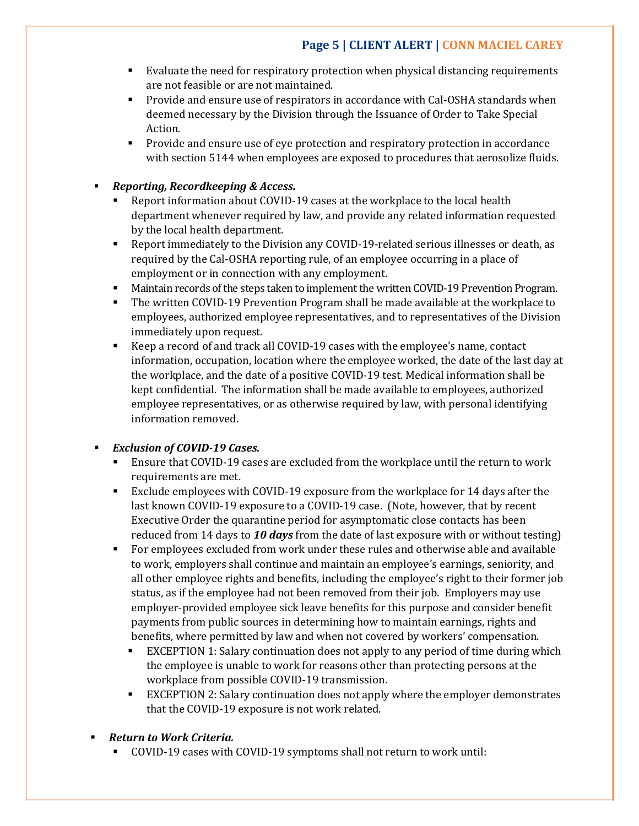- Evaluate the need for respiratory protection when physical distancing requirements are not feasible or are not maintained.
- Provide and ensure use of respirators in accordance with Cal-OSHA standards when deemed necessary by the Division through the Issuance of Order to Take Special Action.
- **Provide and ensure use of eye protection and respiratory protection in accordance** with section 5144 when employees are exposed to procedures that aerosolize fluids.

### *Reporting, Recordkeeping & Access.*

- Report information about COVID-19 cases at the workplace to the local health department whenever required by law, and provide any related information requested by the local health department.
- Report immediately to the Division any COVID-19-related serious illnesses or death, as required by the Cal-OSHA reporting rule, of an employee occurring in a place of employment or in connection with any employment.
- Maintain records of the steps taken to implement the written COVID-19 Prevention Program.
- The written COVID-19 Prevention Program shall be made available at the workplace to employees, authorized employee representatives, and to representatives of the Division immediately upon request.
- Keep a record of and track all COVID-19 cases with the employee's name, contact information, occupation, location where the employee worked, the date of the last day at the workplace, and the date of a positive COVID-19 test. Medical information shall be kept confidential. The information shall be made available to employees, authorized employee representatives, or as otherwise required by law, with personal identifying information removed.

### *Exclusion of COVID-19 Cases.*

- Ensure that COVID-19 cases are excluded from the workplace until the return to work requirements are met.
- Exclude employees with COVID-19 exposure from the workplace for 14 days after the last known COVID-19 exposure to a COVID-19 case. (Note, however, that by recent Executive Order the quarantine period for asymptomatic close contacts has been reduced from 14 days to *10 days* from the date of last exposure with or without testing)
- For employees excluded from work under these rules and otherwise able and available to work, employers shall continue and maintain an employee's earnings, seniority, and all other employee rights and benefits, including the employee's right to their former job status, as if the employee had not been removed from their job. Employers may use employer-provided employee sick leave benefits for this purpose and consider benefit payments from public sources in determining how to maintain earnings, rights and benefits, where permitted by law and when not covered by workers' compensation.
	- EXCEPTION 1: Salary continuation does not apply to any period of time during which the employee is unable to work for reasons other than protecting persons at the workplace from possible COVID-19 transmission.
	- EXCEPTION 2: Salary continuation does not apply where the employer demonstrates that the COVID-19 exposure is not work related.
- *Return to Work Criteria.*
	- COVID-19 cases with COVID-19 symptoms shall not return to work until: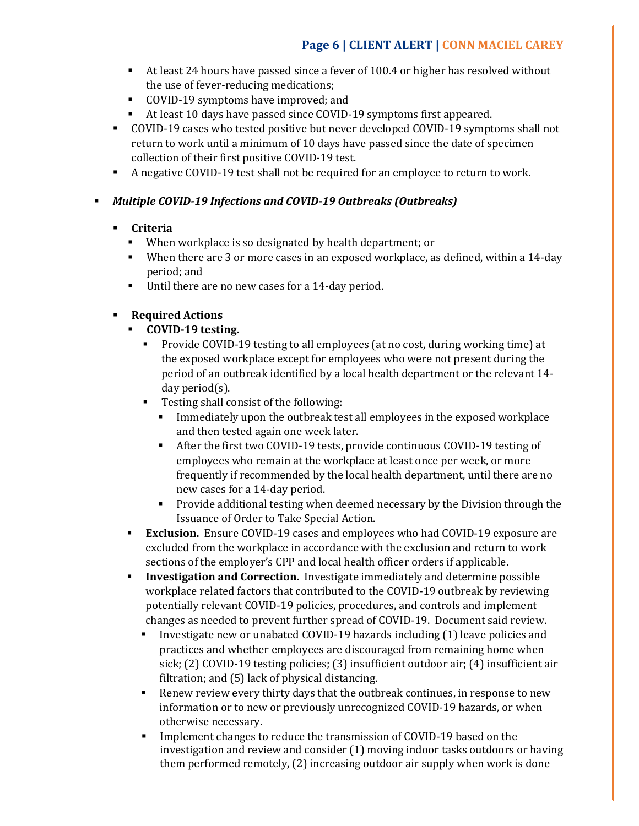## **Page 6 | CLIENT ALERT | CONN MACIEL CAREY**

- At least 24 hours have passed since a fever of 100.4 or higher has resolved without the use of fever-reducing medications;
- COVID-19 symptoms have improved; and
- At least 10 days have passed since COVID-19 symptoms first appeared.
- COVID-19 cases who tested positive but never developed COVID-19 symptoms shall not return to work until a minimum of 10 days have passed since the date of specimen collection of their first positive COVID-19 test.
- A negative COVID-19 test shall not be required for an employee to return to work.

### *Multiple COVID-19 Infections and COVID-19 Outbreaks (Outbreaks)*

### **Criteria**

- When workplace is so designated by health department; or
- When there are 3 or more cases in an exposed workplace, as defined, within a 14-day period; and
- Until there are no new cases for a 14-day period.

### **Required Actions**

- **COVID-19 testing.**
	- Provide COVID-19 testing to all employees (at no cost, during working time) at the exposed workplace except for employees who were not present during the period of an outbreak identified by a local health department or the relevant 14 day period(s).
	- Testing shall consist of the following:
		- Immediately upon the outbreak test all employees in the exposed workplace and then tested again one week later.
		- After the first two COVID-19 tests, provide continuous COVID-19 testing of employees who remain at the workplace at least once per week, or more frequently if recommended by the local health department, until there are no new cases for a 14-day period.
		- **Provide additional testing when deemed necessary by the Division through the** Issuance of Order to Take Special Action.
- **Exclusion.** Ensure COVID-19 cases and employees who had COVID-19 exposure are excluded from the workplace in accordance with the exclusion and return to work sections of the employer's CPP and local health officer orders if applicable.
- **Investigation and Correction.** Investigate immediately and determine possible workplace related factors that contributed to the COVID-19 outbreak by reviewing potentially relevant COVID-19 policies, procedures, and controls and implement changes as needed to prevent further spread of COVID-19. Document said review.
	- Investigate new or unabated COVID-19 hazards including (1) leave policies and practices and whether employees are discouraged from remaining home when sick; (2) COVID-19 testing policies; (3) insufficient outdoor air; (4) insufficient air filtration; and (5) lack of physical distancing.
	- Renew review every thirty days that the outbreak continues, in response to new information or to new or previously unrecognized COVID-19 hazards, or when otherwise necessary.
	- Implement changes to reduce the transmission of COVID-19 based on the investigation and review and consider (1) moving indoor tasks outdoors or having them performed remotely, (2) increasing outdoor air supply when work is done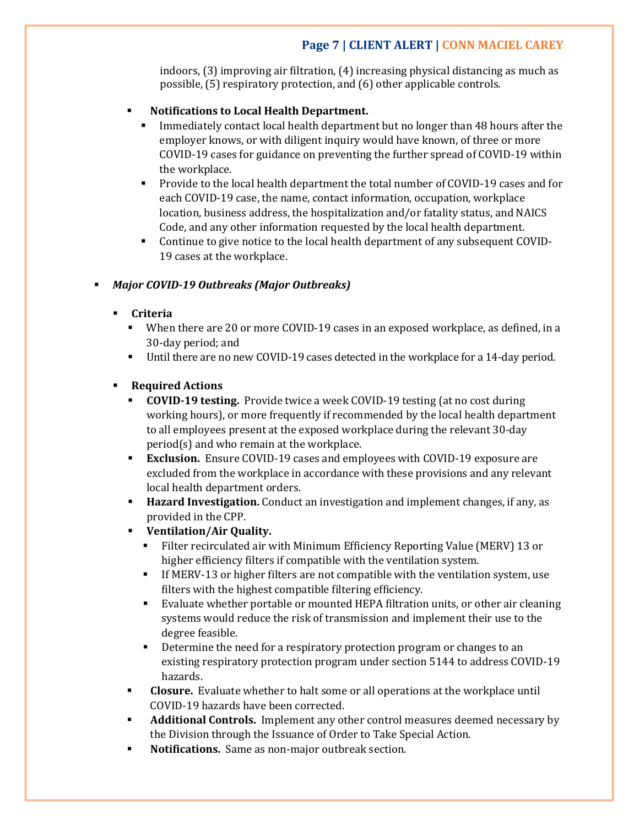## **Page 7 | CLIENT ALERT | CONN MACIEL CAREY**

indoors, (3) improving air filtration, (4) increasing physical distancing as much as possible, (5) respiratory protection, and (6) other applicable controls.

### **Notifications to Local Health Department.**

- Immediately contact local health department but no longer than 48 hours after the employer knows, or with diligent inquiry would have known, of three or more COVID-19 cases for guidance on preventing the further spread of COVID-19 within the workplace.
- Provide to the local health department the total number of COVID-19 cases and for each COVID-19 case, the name, contact information, occupation, workplace location, business address, the hospitalization and/or fatality status, and NAICS Code, and any other information requested by the local health department.
- Continue to give notice to the local health department of any subsequent COVID-19 cases at the workplace.

### *Major COVID-19 Outbreaks (Major Outbreaks)*

### **Criteria**

- When there are 20 or more COVID-19 cases in an exposed workplace, as defined, in a 30-day period; and
- Until there are no new COVID-19 cases detected in the workplace for a 14-day period.

### **Required Actions**

- **COVID-19 testing.** Provide twice a week COVID-19 testing (at no cost during working hours), or more frequently if recommended by the local health department to all employees present at the exposed workplace during the relevant 30-day period(s) and who remain at the workplace.
- **Exclusion.** Ensure COVID-19 cases and employees with COVID-19 exposure are excluded from the workplace in accordance with these provisions and any relevant local health department orders.
- **Hazard Investigation.** Conduct an investigation and implement changes, if any, as provided in the CPP.
- **Ventilation/Air Quality.**
	- Filter recirculated air with Minimum Efficiency Reporting Value (MERV) 13 or higher efficiency filters if compatible with the ventilation system.
	- If MERV-13 or higher filters are not compatible with the ventilation system, use filters with the highest compatible filtering efficiency.
	- Evaluate whether portable or mounted HEPA filtration units, or other air cleaning systems would reduce the risk of transmission and implement their use to the degree feasible.
	- **•** Determine the need for a respiratory protection program or changes to an existing respiratory protection program under section 5144 to address COVID-19 hazards.
- **Closure.** Evaluate whether to halt some or all operations at the workplace until COVID-19 hazards have been corrected.
- **Additional Controls.** Implement any other control measures deemed necessary by the Division through the Issuance of Order to Take Special Action.
- **Notifications.** Same as non-major outbreak section.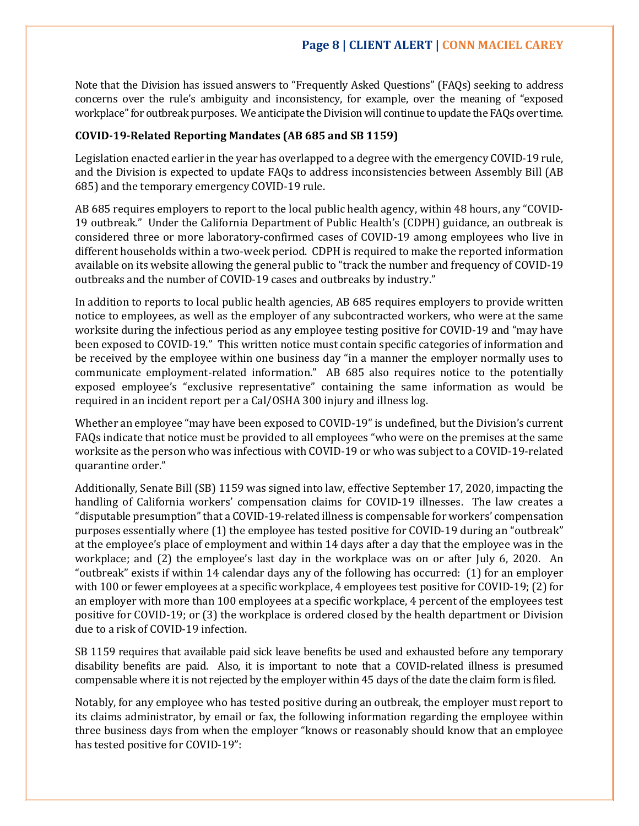Note that the Division has issued answers to "Frequently Asked Questions" (FAQs) seeking to address concerns over the rule's ambiguity and inconsistency, for example, over the meaning of "exposed workplace" for outbreak purposes. We anticipate the Division will continue to update the FAQs over time.

### **COVID-19-Related Reporting Mandates (AB 685 and SB 1159)**

Legislation enacted earlier in the year has overlapped to a degree with the emergency COVID-19 rule, and the Division is expected to update FAQs to address inconsistencies between Assembly Bill (AB 685) and the temporary emergency COVID-19 rule.

AB 685 requires employers to report to the local public health agency, within 48 hours, any "COVID-19 outbreak." Under the California Department of Public Health's (CDPH) guidance, an outbreak is considered three or more laboratory-confirmed cases of COVID-19 among employees who live in different households within a two-week period. CDPH is required to make the reported information available on its website allowing the general public to "track the number and frequency of COVID-19 outbreaks and the number of COVID-19 cases and outbreaks by industry."

In addition to reports to local public health agencies, AB 685 requires employers to provide written notice to employees, as well as the employer of any subcontracted workers, who were at the same worksite during the infectious period as any employee testing positive for COVID-19 and "may have been exposed to COVID-19." This written notice must contain specific categories of information and be received by the employee within one business day "in a manner the employer normally uses to communicate employment-related information." AB 685 also requires notice to the potentially exposed employee's "exclusive representative" containing the same information as would be required in an incident report per a Cal/OSHA 300 injury and illness log.

Whether an employee "may have been exposed to COVID-19" is undefined, but the Division's current FAQs indicate that notice must be provided to all employees "who were on the premises at the same worksite as the person who was infectious with COVID-19 or who was subject to a COVID-19-related quarantine order."

Additionally, Senate Bill (SB) 1159 was signed into law, effective September 17, 2020, impacting the handling of California workers' compensation claims for COVID-19 illnesses. The law creates a "disputable presumption" that a COVID-19-related illness is compensable for workers' compensation purposes essentially where (1) the employee has tested positive for COVID-19 during an "outbreak" at the employee's place of employment and within 14 days after a day that the employee was in the workplace; and (2) the employee's last day in the workplace was on or after July 6, 2020. An "outbreak" exists if within 14 calendar days any of the following has occurred: (1) for an employer with 100 or fewer employees at a specific workplace, 4 employees test positive for COVID-19; (2) for an employer with more than 100 employees at a specific workplace, 4 percent of the employees test positive for COVID-19; or (3) the workplace is ordered closed by the health department or Division due to a risk of COVID-19 infection.

SB 1159 requires that available paid sick leave benefits be used and exhausted before any temporary disability benefits are paid. Also, it is important to note that a COVID-related illness is presumed compensable where it is not rejected by the employer within 45 days of the date the claim form is filed.

Notably, for any employee who has tested positive during an outbreak, the employer must report to its claims administrator, by email or fax, the following information regarding the employee within three business days from when the employer "knows or reasonably should know that an employee has tested positive for COVID-19":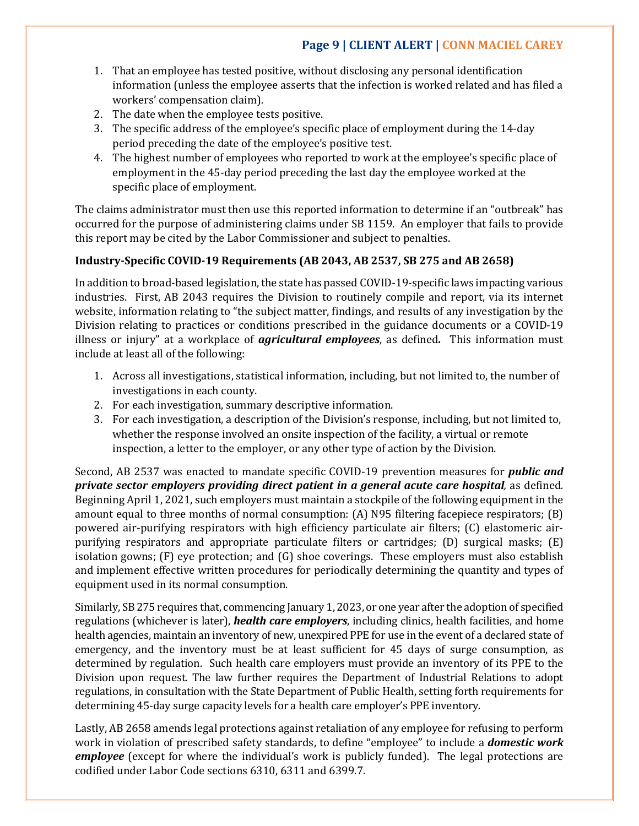## **Page 9 | CLIENT ALERT | CONN MACIEL CAREY**

- 1. That an employee has tested positive, without disclosing any personal identification information (unless the employee asserts that the infection is worked related and has filed a workers' compensation claim).
- 2. The date when the employee tests positive.
- 3. The specific address of the employee's specific place of employment during the 14-day period preceding the date of the employee's positive test.
- 4. The highest number of employees who reported to work at the employee's specific place of employment in the 45-day period preceding the last day the employee worked at the specific place of employment.

The claims administrator must then use this reported information to determine if an "outbreak" has occurred for the purpose of administering claims under SB 1159. An employer that fails to provide this report may be cited by the Labor Commissioner and subject to penalties.

### **Industry-Specific COVID-19 Requirements (AB 2043, AB 2537, SB 275 and AB 2658)**

In addition to broad-based legislation, the state has passed COVID-19-specific laws impacting various industries. First, AB 2043 requires the Division to routinely compile and report, via its internet website, information relating to "the subject matter, findings, and results of any investigation by the Division relating to practices or conditions prescribed in the guidance documents or a COVID-19 illness or injury" at a workplace of *agricultural employees*, as defined*.* This information must include at least all of the following:

- 1. Across all investigations, statistical information, including, but not limited to, the number of investigations in each county.
- 2. For each investigation, summary descriptive information.
- 3. For each investigation, a description of the Division's response, including, but not limited to, whether the response involved an onsite inspection of the facility, a virtual or remote inspection, a letter to the employer, or any other type of action by the Division.

Second, AB 2537 was enacted to mandate specific COVID-19 prevention measures for *public and private sector employers providing direct patient in a general acute care hospital,* as defined*.*  Beginning April 1, 2021, such employers must maintain a stockpile of the following equipment in the amount equal to three months of normal consumption: (A) N95 filtering facepiece respirators; (B) powered air-purifying respirators with high efficiency particulate air filters; (C) elastomeric airpurifying respirators and appropriate particulate filters or cartridges; (D) surgical masks; (E) isolation gowns; (F) eye protection; and (G) shoe coverings. These employers must also establish and implement effective written procedures for periodically determining the quantity and types of equipment used in its normal consumption.

Similarly, SB 275 requires that, commencing January 1, 2023, or one year after the adoption of specified regulations (whichever is later), *health care employers*, including clinics, health facilities, and home health agencies, maintain an inventory of new, unexpired PPE for use in the event of a declared state of emergency, and the inventory must be at least sufficient for 45 days of surge consumption, as determined by regulation. Such health care employers must provide an inventory of its PPE to the Division upon request. The law further requires the Department of Industrial Relations to adopt regulations, in consultation with the State Department of Public Health, setting forth requirements for determining 45-day surge capacity levels for a health care employer's PPE inventory.

Lastly, AB 2658 amends legal protections against retaliation of any employee for refusing to perform work in violation of prescribed safety standards, to define "employee" to include a *domestic work employee* (except for where the individual's work is publicly funded). The legal protections are codified under Labor Code sections 6310, 6311 and 6399.7.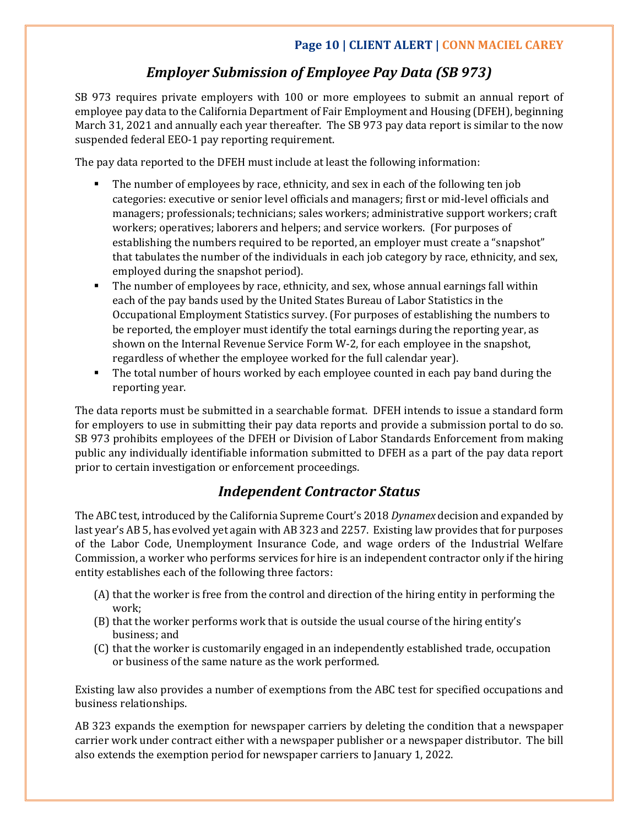## *Employer Submission of Employee Pay Data (SB 973)*

SB 973 requires private employers with 100 or more employees to submit an annual report of employee pay data to the California Department of Fair Employment and Housing (DFEH), beginning March 31, 2021 and annually each year thereafter. The SB 973 pay data report is similar to the now suspended federal EEO-1 pay reporting requirement.

The pay data reported to the DFEH must include at least the following information:

- The number of employees by race, ethnicity, and sex in each of the following ten job categories: executive or senior level officials and managers; first or mid-level officials and managers; professionals; technicians; sales workers; administrative support workers; craft workers; operatives; laborers and helpers; and service workers. (For purposes of establishing the numbers required to be reported, an employer must create a "snapshot" that tabulates the number of the individuals in each job category by race, ethnicity, and sex, employed during the snapshot period).
- The number of employees by race, ethnicity, and sex, whose annual earnings fall within each of the pay bands used by the United States Bureau of Labor Statistics in the Occupational Employment Statistics survey. (For purposes of establishing the numbers to be reported, the employer must identify the total earnings during the reporting year, as shown on the Internal Revenue Service Form W-2, for each employee in the snapshot, regardless of whether the employee worked for the full calendar year).
- The total number of hours worked by each employee counted in each pay band during the reporting year.

The data reports must be submitted in a searchable format. DFEH intends to issue a standard form for employers to use in submitting their pay data reports and provide a submission portal to do so. SB 973 prohibits employees of the DFEH or Division of Labor Standards Enforcement from making public any individually identifiable information submitted to DFEH as a part of the pay data report prior to certain investigation or enforcement proceedings.

## *Independent Contractor Status*

The ABC test, introduced by the California Supreme Court's 2018 *Dynamex* decision and expanded by last year's AB 5, has evolved yet again with AB 323 and 2257. Existing law provides that for purposes of the Labor Code, Unemployment Insurance Code, and wage orders of the Industrial Welfare Commission, a worker who performs services for hire is an independent contractor only if the hiring entity establishes each of the following three factors:

- (A) that the worker is free from the control and direction of the hiring entity in performing the work;
- (B) that the worker performs work that is outside the usual course of the hiring entity's business; and
- (C) that the worker is customarily engaged in an independently established trade, occupation or business of the same nature as the work performed.

Existing law also provides a number of exemptions from the ABC test for specified occupations and business relationships.

AB 323 expands the exemption for newspaper carriers by deleting the condition that a newspaper carrier work under contract either with a newspaper publisher or a newspaper distributor. The bill also extends the exemption period for newspaper carriers to January 1, 2022.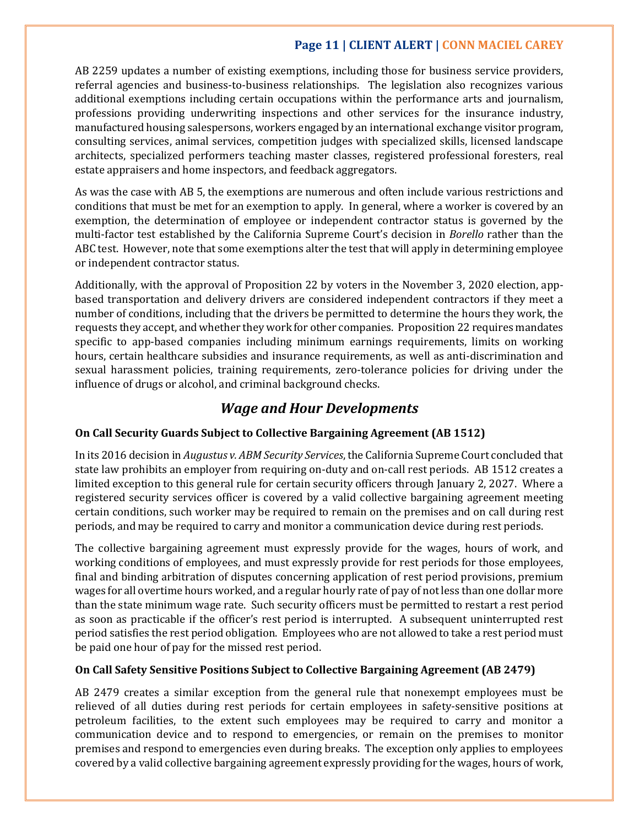## **Page 11 | CLIENT ALERT | CONN MACIEL CAREY**

AB 2259 updates a number of existing exemptions, including those for business service providers, referral agencies and business-to-business relationships. The legislation also recognizes various additional exemptions including certain occupations within the performance arts and journalism, professions providing underwriting inspections and other services for the insurance industry, manufactured housing salespersons, workers engaged by an international exchange visitor program, consulting services, animal services, competition judges with specialized skills, licensed landscape architects, specialized performers teaching master classes, registered professional foresters, real estate appraisers and home inspectors, and feedback aggregators.

As was the case with AB 5, the exemptions are numerous and often include various restrictions and conditions that must be met for an exemption to apply. In general, where a worker is covered by an exemption, the determination of employee or independent contractor status is governed by the multi-factor test established by the California Supreme Court's decision in *Borello* rather than the ABC test. However, note that some exemptions alter the test that will apply in determining employee or independent contractor status.

Additionally, with the approval of Proposition 22 by voters in the November 3, 2020 election, appbased transportation and delivery drivers are considered independent contractors if they meet a number of conditions, including that the drivers be permitted to determine the hours they work, the requests they accept, and whether they work for other companies. Proposition 22 requires mandates specific to app-based companies including minimum earnings requirements, limits on working hours, certain healthcare subsidies and insurance requirements, as well as anti-discrimination and sexual harassment policies, training requirements, zero-tolerance policies for driving under the influence of drugs or alcohol, and criminal background checks.

## *Wage and Hour Developments*

### **On Call Security Guards Subject to Collective Bargaining Agreement (AB 1512)**

In its 2016 decision in *Augustus v. ABM Security Services*, the California Supreme Court concluded that state law prohibits an employer from requiring on-duty and on-call rest periods. AB 1512 creates a limited exception to this general rule for certain security officers through January 2, 2027. Where a registered security services officer is covered by a valid collective bargaining agreement meeting certain conditions, such worker may be required to remain on the premises and on call during rest periods, and may be required to carry and monitor a communication device during rest periods.

The collective bargaining agreement must expressly provide for the wages, hours of work, and working conditions of employees, and must expressly provide for rest periods for those employees, final and binding arbitration of disputes concerning application of rest period provisions, premium wages for all overtime hours worked, and a regular hourly rate of pay of not less than one dollar more than the state minimum wage rate. Such security officers must be permitted to restart a rest period as soon as practicable if the officer's rest period is interrupted. A subsequent uninterrupted rest period satisfies the rest period obligation. Employees who are not allowed to take a rest period must be paid one hour of pay for the missed rest period.

### **On Call Safety Sensitive Positions Subject to Collective Bargaining Agreement (AB 2479)**

AB 2479 creates a similar exception from the general rule that nonexempt employees must be relieved of all duties during rest periods for certain employees in safety-sensitive positions at petroleum facilities, to the extent such employees may be required to carry and monitor a communication device and to respond to emergencies, or remain on the premises to monitor premises and respond to emergencies even during breaks. The exception only applies to employees covered by a valid collective bargaining agreement expressly providing for the wages, hours of work,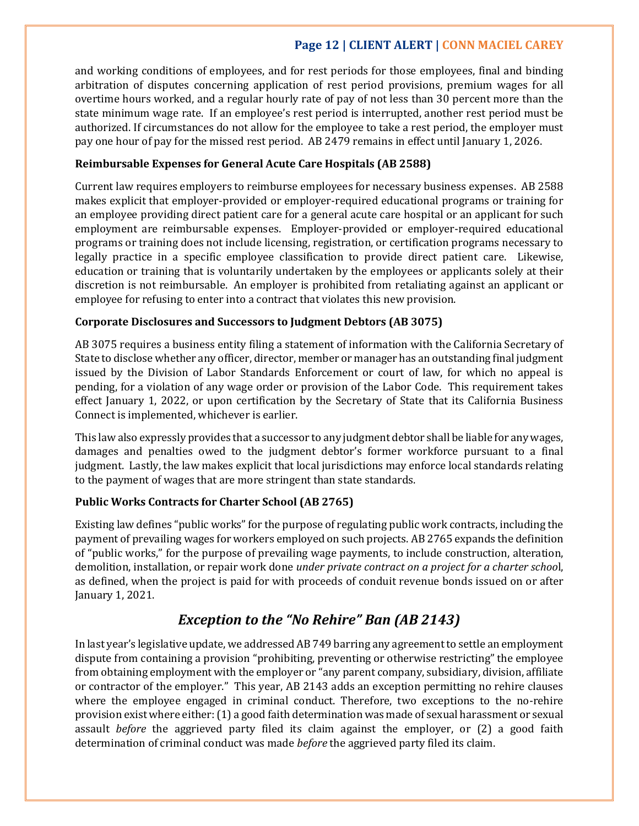## **Page 12 | CLIENT ALERT | CONN MACIEL CAREY**

and working conditions of employees, and for rest periods for those employees, final and binding arbitration of disputes concerning application of rest period provisions, premium wages for all overtime hours worked, and a regular hourly rate of pay of not less than 30 percent more than the state minimum wage rate. If an employee's rest period is interrupted, another rest period must be authorized. If circumstances do not allow for the employee to take a rest period, the employer must pay one hour of pay for the missed rest period. AB 2479 remains in effect until January 1, 2026.

### **Reimbursable Expenses for General Acute Care Hospitals (AB 2588)**

Current law requires employers to reimburse employees for necessary business expenses. AB 2588 makes explicit that employer-provided or employer-required educational programs or training for an employee providing direct patient care for a general acute care hospital or an applicant for such employment are reimbursable expenses. Employer-provided or employer-required educational programs or training does not include licensing, registration, or certification programs necessary to legally practice in a specific employee classification to provide direct patient care. Likewise, education or training that is voluntarily undertaken by the employees or applicants solely at their discretion is not reimbursable. An employer is prohibited from retaliating against an applicant or employee for refusing to enter into a contract that violates this new provision.

### **Corporate Disclosures and Successors to Judgment Debtors (AB 3075)**

AB 3075 requires a business entity filing a statement of information with the California Secretary of State to disclose whether any officer, director, member or manager has an outstanding final judgment issued by the Division of Labor Standards Enforcement or court of law, for which no appeal is pending, for a violation of any wage order or provision of the Labor Code. This requirement takes effect January 1, 2022, or upon certification by the Secretary of State that its California Business Connect is implemented, whichever is earlier.

This law also expressly provides that a successor to any judgment debtor shall be liable for any wages, damages and penalties owed to the judgment debtor's former workforce pursuant to a final judgment. Lastly, the law makes explicit that local jurisdictions may enforce local standards relating to the payment of wages that are more stringent than state standards.

### **Public Works Contracts for Charter School (AB 2765)**

Existing law defines "public works" for the purpose of regulating public work contracts, including the payment of prevailing wages for workers employed on such projects. AB 2765 expands the definition of "public works," for the purpose of prevailing wage payments, to include construction, alteration, demolition, installation, or repair work done *under private contract on a project for a charter schoo*l, as defined, when the project is paid for with proceeds of conduit revenue bonds issued on or after January 1, 2021.

## *Exception to the "No Rehire" Ban (AB 2143)*

In last year's legislative update, we addressed AB 749 barring any agreement to settle an employment dispute from containing a provision "prohibiting, preventing or otherwise restricting" the employee from obtaining employment with the employer or "any parent company, subsidiary, division, affiliate or contractor of the employer." This year, AB 2143 adds an exception permitting no rehire clauses where the employee engaged in criminal conduct. Therefore, two exceptions to the no-rehire provision exist where either: (1) a good faith determination was made of sexual harassment or sexual assault *before* the aggrieved party filed its claim against the employer, or (2) a good faith determination of criminal conduct was made *before* the aggrieved party filed its claim.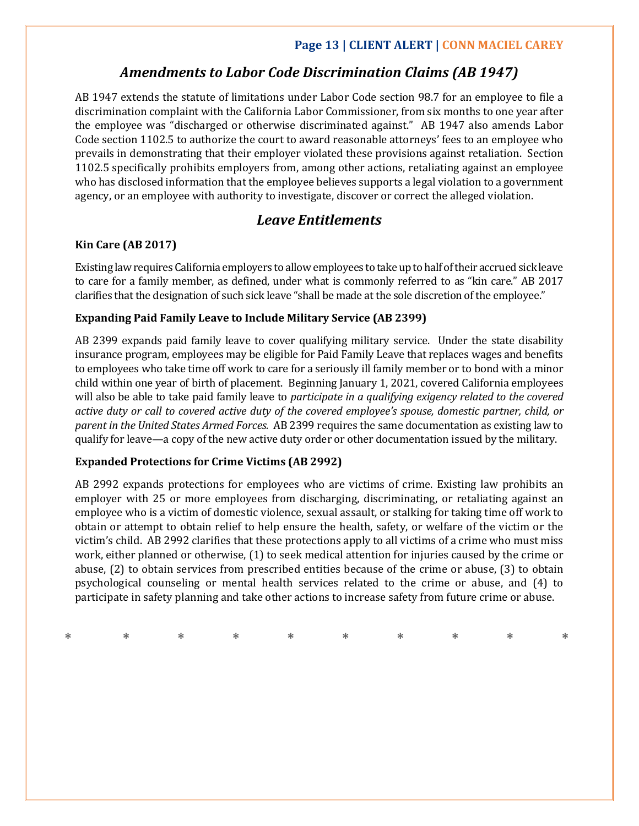## **Page 13 | CLIENT ALERT | CONN MACIEL CAREY**

## *Amendments to Labor Code Discrimination Claims (AB 1947)*

AB 1947 extends the statute of limitations under Labor Code section 98.7 for an employee to file a discrimination complaint with the California Labor Commissioner, from six months to one year after the employee was "discharged or otherwise discriminated against." AB 1947 also amends Labor Code section 1102.5 to authorize the court to award reasonable attorneys' fees to an employee who prevails in demonstrating that their employer violated these provisions against retaliation. Section 1102.5 specifically prohibits employers from, among other actions, retaliating against an employee who has disclosed information that the employee believes supports a legal violation to a government agency, or an employee with authority to investigate, discover or correct the alleged violation.

## *Leave Entitlements*

### **Kin Care (AB 2017)**

Existing law requires California employers to allow employees to take up to half of their accrued sick leave to care for a family member, as defined, under what is commonly referred to as "kin care." AB 2017 clarifies that the designation of such sick leave "shall be made at the sole discretion of the employee."

### **Expanding Paid Family Leave to Include Military Service (AB 2399)**

AB 2399 expands paid family leave to cover qualifying military service. Under the state disability insurance program, employees may be eligible for Paid Family Leave that replaces wages and benefits to employees who take time off work to care for a seriously ill family member or to bond with a minor child within one year of birth of placement. Beginning January 1, 2021, covered California employees will also be able to take paid family leave to *participate in a qualifying exigency related to the covered active duty or call to covered active duty of the covered employee's spouse, domestic partner, child, or parent in the United States Armed Forces.* AB 2399 requires the same documentation as existing law to qualify for leave—a copy of the new active duty order or other documentation issued by the military.

### **Expanded Protections for Crime Victims (AB 2992)**

AB 2992 expands protections for employees who are victims of crime. Existing law prohibits an employer with 25 or more employees from discharging, discriminating, or retaliating against an employee who is a victim of domestic violence, sexual assault, or stalking for taking time off work to obtain or attempt to obtain relief to help ensure the health, safety, or welfare of the victim or the victim's child. AB 2992 clarifies that these protections apply to all victims of a crime who must miss work, either planned or otherwise, (1) to seek medical attention for injuries caused by the crime or abuse, (2) to obtain services from prescribed entities because of the crime or abuse, (3) to obtain psychological counseling or mental health services related to the crime or abuse, and (4) to participate in safety planning and take other actions to increase safety from future crime or abuse.

|  |  |  |  | * * * * * * * * * * * |  |
|--|--|--|--|-----------------------|--|
|  |  |  |  |                       |  |